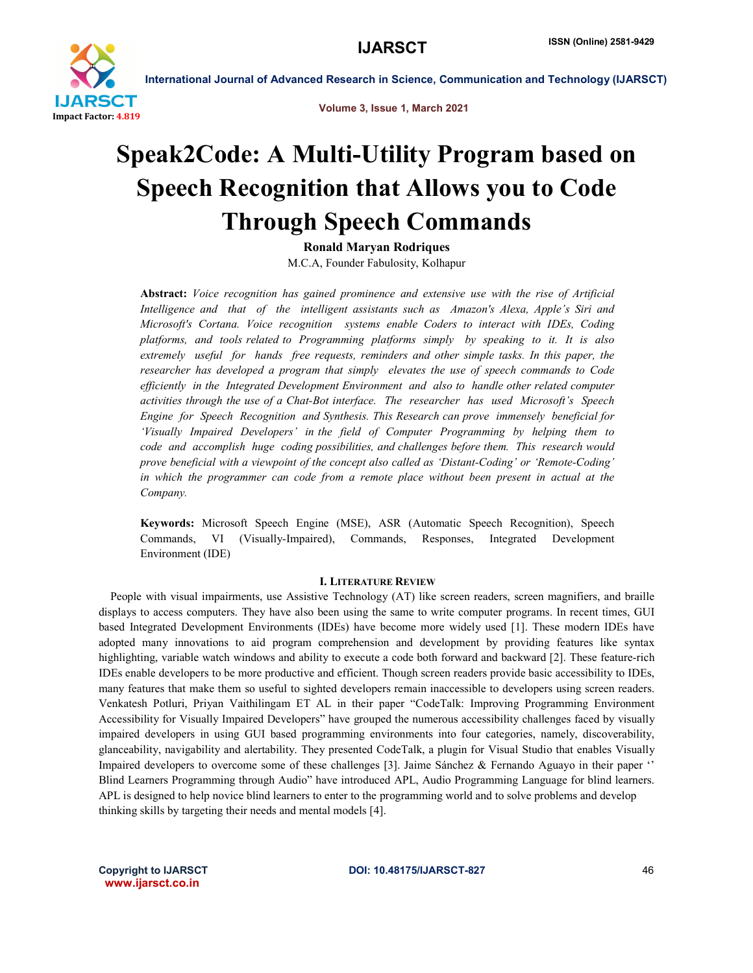

Volume 3, Issue 1, March 2021

# Speak2Code: A Multi-Utility Program based on Speech Recognition that Allows you to Code Through Speech Commands

Ronald Maryan Rodriques

M.C.A, Founder Fabulosity, Kolhapur

Abstract: *Voice recognition has gained prominence and extensive use with the rise of Artificial Intelligence and that of the intelligent assistants such as Amazon's Alexa, Apple's Siri and Microsoft's Cortana. Voice recognition systems enable Coders to interact with IDEs, Coding platforms, and tools related to Programming platforms simply by speaking to it. It is also extremely useful for hands free requests, reminders and other simple tasks. In this paper, the researcher has developed a program that simply elevates the use of speech commands to Code efficiently in the Integrated Development Environment and also to handle other related computer activities through the use of a Chat-Bot interface. The researcher has used Microsoft's Speech Engine for Speech Recognition and Synthesis. This Research can prove immensely beneficial for 'Visually Impaired Developers' in the field of Computer Programming by helping them to code and accomplish huge coding possibilities, and challenges before them. This research would prove beneficial with a viewpoint of the concept also called as 'Distant-Coding' or 'Remote-Coding' in which the programmer can code from a remote place without been present in actual at the Company.*

Keywords: Microsoft Speech Engine (MSE), ASR (Automatic Speech Recognition), Speech Commands, VI (Visually-Impaired), Commands, Responses, Integrated Development Environment (IDE)

## I. LITERATURE REVIEW

 People with visual impairments, use Assistive Technology (AT) like screen readers, screen magnifiers, and braille displays to access computers. They have also been using the same to write computer programs. In recent times, GUI based Integrated Development Environments (IDEs) have become more widely used [1]. These modern IDEs have adopted many innovations to aid program comprehension and development by providing features like syntax highlighting, variable watch windows and ability to execute a code both forward and backward [2]. These feature-rich IDEs enable developers to be more productive and efficient. Though screen readers provide basic accessibility to IDEs, many features that make them so useful to sighted developers remain inaccessible to developers using screen readers. Venkatesh Potluri, Priyan Vaithilingam ET AL in their paper "CodeTalk: Improving Programming Environment Accessibility for Visually Impaired Developers" have grouped the numerous accessibility challenges faced by visually impaired developers in using GUI based programming environments into four categories, namely, discoverability, glanceability, navigability and alertability. They presented CodeTalk, a plugin for Visual Studio that enables Visually Impaired developers to overcome some of these challenges [3]. Jaime Sánchez & Fernando Aguayo in their paper '' Blind Learners Programming through Audio" have introduced APL, Audio Programming Language for blind learners. APL is designed to help novice blind learners to enter to the programming world and to solve problems and develop thinking skills by targeting their needs and mental models [4].

www.ijarsct.co.in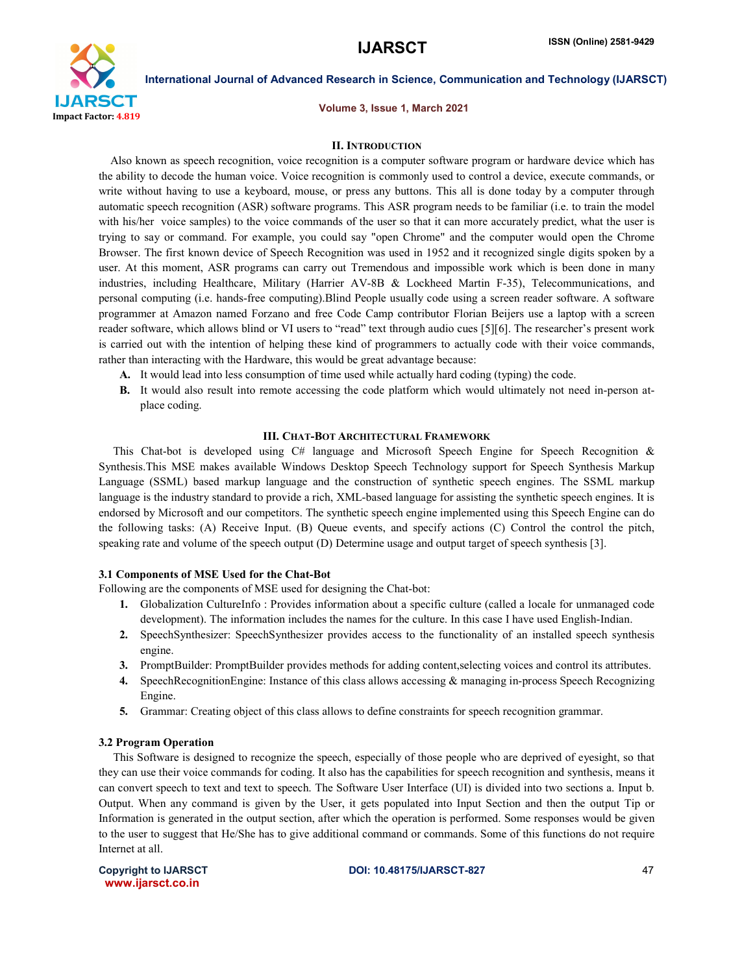

Volume 3, Issue 1, March 2021

### II. INTRODUCTION

 Also known as speech recognition, voice recognition is a computer software program or hardware device which has the ability to decode the human voice. Voice recognition is commonly used to control a device, execute commands, or write without having to use a keyboard, mouse, or press any buttons. This all is done today by a computer through automatic speech recognition (ASR) software programs. This ASR program needs to be familiar (i.e. to train the model with his/her voice samples) to the voice commands of the user so that it can more accurately predict, what the user is trying to say or command. For example, you could say "open Chrome" and the computer would open the Chrome Browser. The first known device of Speech Recognition was used in 1952 and it recognized single digits spoken by a user. At this moment, ASR programs can carry out Tremendous and impossible work which is been done in many industries, including Healthcare, Military (Harrier AV-8B & Lockheed Martin F-35), Telecommunications, and personal computing (i.e. hands-free computing).Blind People usually code using a screen reader software. A software programmer at Amazon named Forzano and free Code Camp contributor Florian Beijers use a laptop with a screen reader software, which allows blind or VI users to "read" text through audio cues [5][6]. The researcher's present work is carried out with the intention of helping these kind of programmers to actually code with their voice commands, rather than interacting with the Hardware, this would be great advantage because:

- A. It would lead into less consumption of time used while actually hard coding (typing) the code.
- B. It would also result into remote accessing the code platform which would ultimately not need in-person atplace coding.

#### III. CHAT-BOT ARCHITECTURAL FRAMEWORK

 This Chat-bot is developed using C# language and Microsoft Speech Engine for Speech Recognition & Synthesis.This MSE makes available Windows Desktop Speech Technology support for Speech Synthesis Markup Language (SSML) based markup language and the construction of synthetic speech engines. The SSML markup language is the industry standard to provide a rich, XML-based language for assisting the synthetic speech engines. It is endorsed by Microsoft and our competitors. The synthetic speech engine implemented using this Speech Engine can do the following tasks: (A) Receive Input. (B) Queue events, and specify actions (C) Control the control the pitch, speaking rate and volume of the speech output (D) Determine usage and output target of speech synthesis [3].

### 3.1 Components of MSE Used for the Chat-Bot

Following are the components of MSE used for designing the Chat-bot:

- 1. Globalization CultureInfo : Provides information about a specific culture (called a locale for unmanaged code development). The information includes the names for the culture. In this case I have used English-Indian.
- 2. SpeechSynthesizer: SpeechSynthesizer provides access to the functionality of an installed speech synthesis engine.
- 3. PromptBuilder: PromptBuilder provides methods for adding content,selecting voices and control its attributes.
- 4. SpeechRecognitionEngine: Instance of this class allows accessing & managing in-process Speech Recognizing Engine.
- 5. Grammar: Creating object of this class allows to define constraints for speech recognition grammar.

#### 3.2 Program Operation

 This Software is designed to recognize the speech, especially of those people who are deprived of eyesight, so that they can use their voice commands for coding. It also has the capabilities for speech recognition and synthesis, means it can convert speech to text and text to speech. The Software User Interface (UI) is divided into two sections a. Input b. Output. When any command is given by the User, it gets populated into Input Section and then the output Tip or Information is generated in the output section, after which the operation is performed. Some responses would be given to the user to suggest that He/She has to give additional command or commands. Some of this functions do not require Internet at all.

www.ijarsct.co.in

Copyright to IJARSCT and the CODI: 10.48175/IJARSCT-827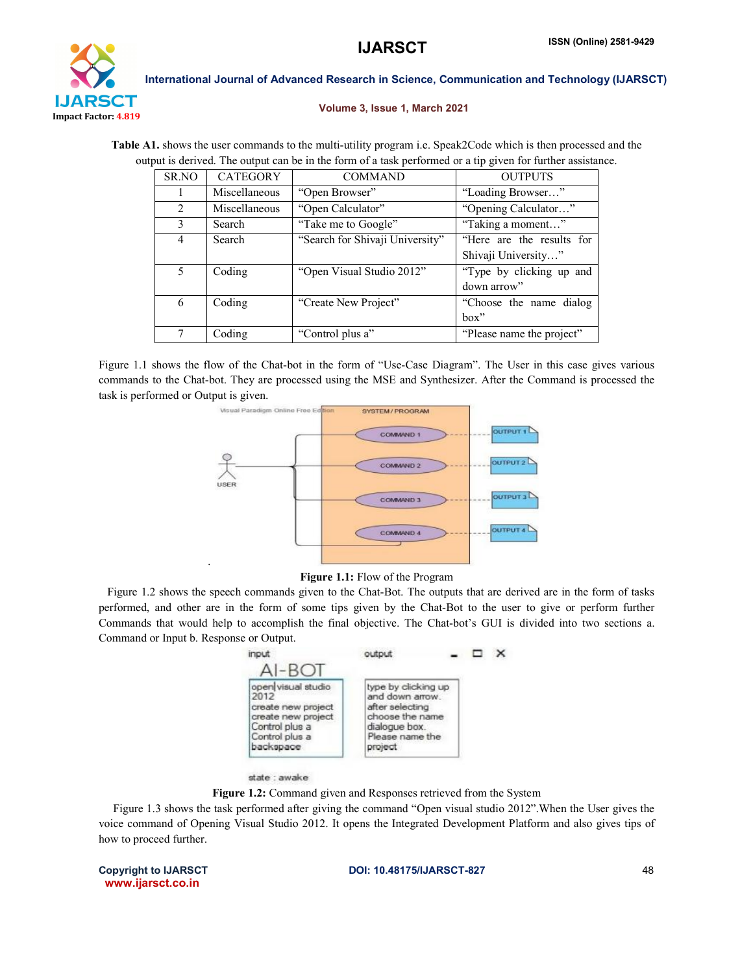

### Volume 3, Issue 1, March 2021

Table A1. shows the user commands to the multi-utility program i.e. Speak2Code which is then processed and the output is derived. The output can be in the form of a task performed or a tip given for further assistance.

| SR.NO | <b>CATEGORY</b> | <b>COMMAND</b>                  | <b>OUTPUTS</b>            |  |
|-------|-----------------|---------------------------------|---------------------------|--|
|       | Miscellaneous   | "Open Browser"                  | "Loading Browser"         |  |
| 2     | Miscellaneous   | "Open Calculator"               | "Opening Calculator"      |  |
| 3     | Search          | "Take me to Google"             | "Taking a moment"         |  |
| 4     | Search          | "Search for Shivaji University" | "Here are the results for |  |
|       |                 |                                 | Shivaji University"       |  |
| 5     | Coding          | "Open Visual Studio 2012"       | "Type by clicking up and  |  |
|       |                 |                                 | down arrow"               |  |
| 6     | Coding          | "Create New Project"            | "Choose the name dialog"  |  |
|       |                 |                                 | box"                      |  |
| 7     | Coding          | "Control plus a"                | "Please name the project" |  |

Figure 1.1 shows the flow of the Chat-bot in the form of "Use-Case Diagram". The User in this case gives various commands to the Chat-bot. They are processed using the MSE and Synthesizer. After the Command is processed the task is performed or Output is given.



### Figure 1.1: Flow of the Program

 Figure 1.2 shows the speech commands given to the Chat-Bot. The outputs that are derived are in the form of tasks performed, and other are in the form of some tips given by the Chat-Bot to the user to give or perform further Commands that would help to accomplish the final objective. The Chat-bot's GUI is divided into two sections a. Command or Input b. Response or Output.

| input                                                                                                                   | output                                                                                                                      |  |  |
|-------------------------------------------------------------------------------------------------------------------------|-----------------------------------------------------------------------------------------------------------------------------|--|--|
| open visual studio<br>2012<br>create new project<br>create new project<br>Control plus a<br>Control plus a<br>backspace | type by clicking up<br>and down arrow.<br>after selecting<br>choose the name<br>dialogue box.<br>Please name the<br>project |  |  |

#### state : awake

.

Figure 1.2: Command given and Responses retrieved from the System

 Figure 1.3 shows the task performed after giving the command "Open visual studio 2012".When the User gives the voice command of Opening Visual Studio 2012. It opens the Integrated Development Platform and also gives tips of how to proceed further.

www.ijarsct.co.in

Copyright to IJARSCT **DOI: 10.48175/IJARSCT-827** 48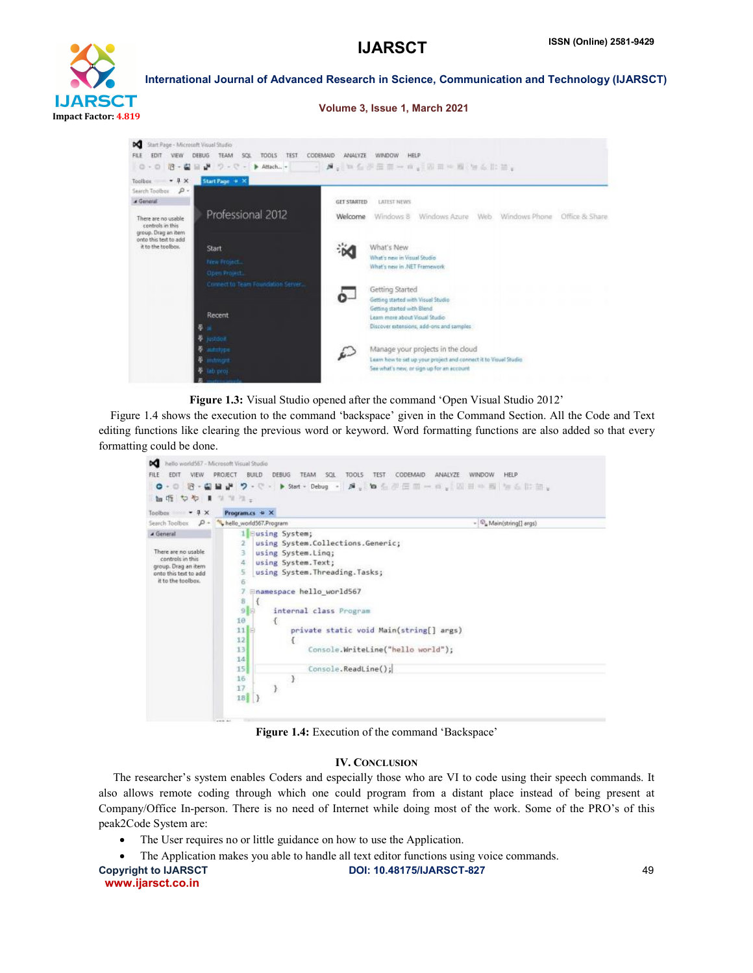

Volume 3, Issue 1, March 2021



Figure 1.3: Visual Studio opened after the command 'Open Visual Studio 2012'

 Figure 1.4 shows the execution to the command 'backspace' given in the Command Section. All the Code and Text editing functions like clearing the previous word or keyword. Word formatting functions are also added so that every formatting could be done.

| FILE<br>VIEW<br>PROJECT<br><b>EDIT</b><br>$O - O$<br>仙塔 やや まりすす。                                                           | <b>DEBUG</b><br><b>BUILD</b><br>TEAM SCL                                                                                                                                                                                                                 | <b>TOOLS</b><br><b>TEST</b><br>CODEMAID<br>ANALYZE<br><b>WINDOW</b><br><b>HELP</b><br>- 治・歯鼻止 ウ・ぐ・ ▶ Start + Debug → 戸。 句有所圧血ー血。  固由中国 無点出血。 |
|----------------------------------------------------------------------------------------------------------------------------|----------------------------------------------------------------------------------------------------------------------------------------------------------------------------------------------------------------------------------------------------------|----------------------------------------------------------------------------------------------------------------------------------------------|
| Toolbox $\bullet$ <b>4</b> $\times$                                                                                        | Program. $cs \neq X$                                                                                                                                                                                                                                     |                                                                                                                                              |
| Search Toolbox<br>$P -$                                                                                                    | hello_world567.Program                                                                                                                                                                                                                                   | -   Ca Main(string[] args)                                                                                                                   |
| A General<br>There are no usable<br>controls in this<br>group. Drag an item<br>onto this text to add<br>it to the toolbox. | 1 Susing System;<br>2<br>using System. Linq;<br>3<br>using System. Text;<br>4<br>using System. Threading. Tasks;<br>5<br>6<br>@namespace hello world567<br>8<br>9<br>internal class Program<br>10<br>11<br>12<br>131<br>14<br>15<br>16<br>-3<br>17<br>18 | using System.Collections.Generic;<br>private static void Main(string[] args)<br>Console.WriteLine("hello world");<br>Console. ReadLine();    |

Figure 1.4: Execution of the command 'Backspace'

# IV. CONCLUSION

 The researcher's system enables Coders and especially those who are VI to code using their speech commands. It also allows remote coding through which one could program from a distant place instead of being present at Company/Office In-person. There is no need of Internet while doing most of the work. Some of the PRO's of this peak2Code System are:

- The User requires no or little guidance on how to use the Application.
- The Application makes you able to handle all text editor functions using voice commands.

| <b>Copyright to IJARSCT</b> |
|-----------------------------|
| www.ijarsct.co.in           |

DOI: 10.48175/IJARSCT-827 49